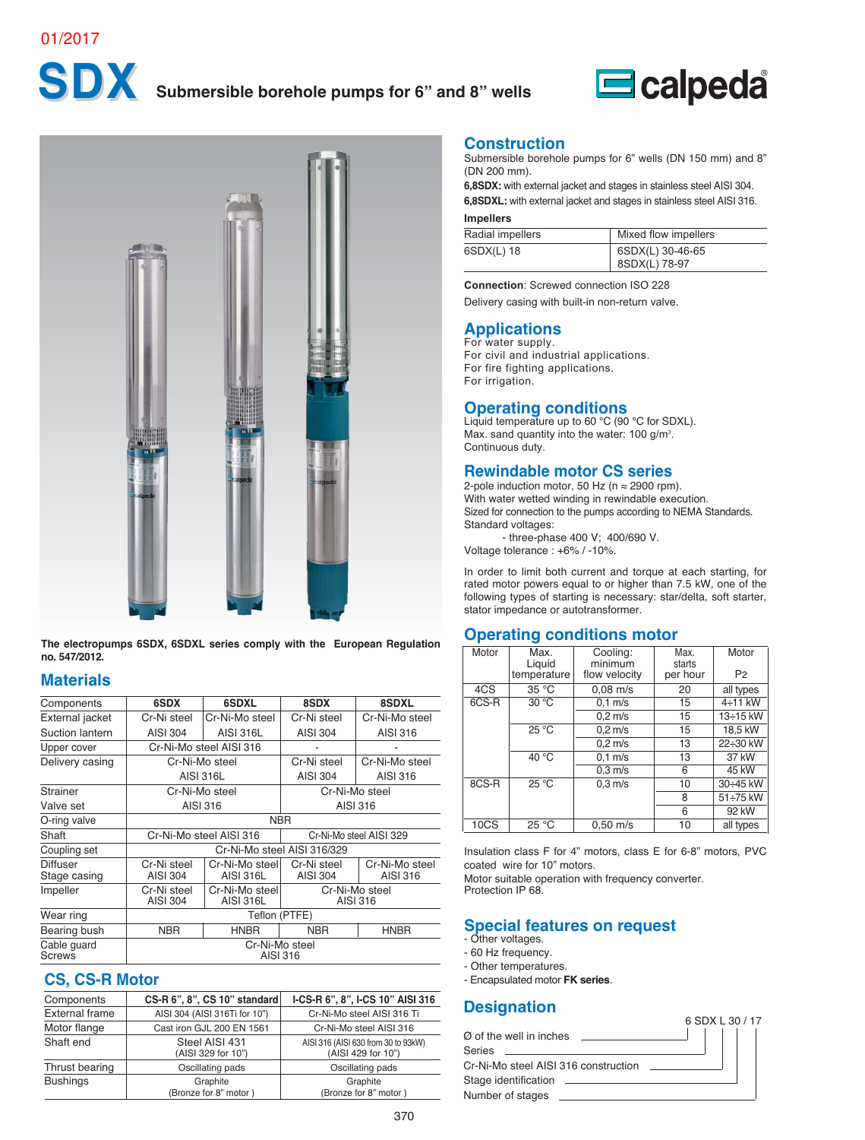

# **SDX Submersible borehole pumps for 6" and 8" wells**





**The electropumps 6SDX, 6SDXL series comply with the European Regulation no. 547/2012.**

# **Materials**

| Components                      | 6SDX                           | 6SDXL                       | 8SDX                        | 8SDXL                      |  |  |  |  |  |  |  |
|---------------------------------|--------------------------------|-----------------------------|-----------------------------|----------------------------|--|--|--|--|--|--|--|
| External jacket                 | Cr-Ni steel                    | Cr-Ni-Mo steel              | Cr-Ni steel                 | Cr-Ni-Mo steel             |  |  |  |  |  |  |  |
| Suction lantern                 | AISI 304                       | <b>AISI 316L</b>            | AISI 304                    | AISI 316                   |  |  |  |  |  |  |  |
| Upper cover                     |                                | Cr-Ni-Mo steel AISI 316     |                             |                            |  |  |  |  |  |  |  |
| Delivery casing                 |                                | Cr-Ni-Mo steel              | Cr-Ni steel                 | Cr-Ni-Mo steel             |  |  |  |  |  |  |  |
|                                 | <b>AISI 316L</b>               |                             | AISI 304                    | AISI 316                   |  |  |  |  |  |  |  |
| Strainer                        | Cr-Ni-Mo steel                 |                             | Cr-Ni-Mo steel              |                            |  |  |  |  |  |  |  |
| Valve set                       | AISI 316                       |                             | AISI 316                    |                            |  |  |  |  |  |  |  |
| O-ring valve                    |                                |                             | <b>NBR</b>                  |                            |  |  |  |  |  |  |  |
| Shaft                           |                                | Cr-Ni-Mo steel AISI 316     |                             | Cr-Ni-Mo steel AISI 329    |  |  |  |  |  |  |  |
| Coupling set                    |                                |                             | Cr-Ni-Mo steel AISI 316/329 |                            |  |  |  |  |  |  |  |
| <b>Diffuser</b><br>Stage casing | Cr-Ni steel<br>AISI 304        | Cr-Ni-Mo steel<br>AISI 316L | Cr-Ni steel<br>AISI 304     | Cr-Ni-Mo steel<br>AISI 316 |  |  |  |  |  |  |  |
| Impeller                        | Cr-Ni steel<br><b>AISI 304</b> | Cr-Ni-Mo steel<br>AISI 316L | Cr-Ni-Mo steel<br>AISI 316  |                            |  |  |  |  |  |  |  |
| Wear ring                       | Teflon (PTFE)                  |                             |                             |                            |  |  |  |  |  |  |  |
| Bearing bush                    | <b>NBR</b>                     | <b>HNBR</b>                 | <b>NBR</b>                  | <b>HNBR</b>                |  |  |  |  |  |  |  |
| Cable guard<br>Screws           |                                | Cr-Ni-Mo steel              | AISI 316                    |                            |  |  |  |  |  |  |  |

#### **CS, CS-R Motor**

| Components            | $CS-R 6$ ", 8", CS 10" standard      | I-CS-R 6", 8", I-CS 10" AISI 316                          |
|-----------------------|--------------------------------------|-----------------------------------------------------------|
| <b>External frame</b> | AISI 304 (AISI 316Ti for 10")        | Cr-Ni-Mo steel AISI 316 Ti                                |
| Motor flange          | Cast iron GJL 200 EN 1561            | Cr-Ni-Mo steel AISI 316                                   |
| Shaft end             | Steel AISI 431<br>(AISI 329 for 10") | AISI 316 (AISI 630 from 30 to 93kW)<br>(AISI 429 for 10") |
| Thrust bearing        | Oscillating pads                     | Oscillating pads                                          |
| <b>Bushings</b>       | Graphite<br>(Bronze for 8" motor)    | Graphite<br>(Bronze for 8" motor)                         |

#### **Construction**

Submersible borehole pumps for 6" wells (DN 150 mm) and 8" (DN 200 mm).

**6,8SDX:** with external jacket and stages in stainless steel AISI 304. **6,8SDXL:** with external jacket and stages in stainless steel AISI 316.

#### **Impellers**

| Radial impellers | Mixed flow impellers              |
|------------------|-----------------------------------|
| 6SDX(L) 18       | 6SDX(L) 30-46-65<br>8SDX(L) 78-97 |

**Connection**: Screwed connection ISO 228 Delivery casing with built-in non-return valve.

# **Applications** For water supply.

For civil and industrial applications. For fire fighting applications. For irrigation.

**Operating conditions**<br>Liquid temperature up to 60 °C (90 °C for SDXL). Max. sand quantity into the water:  $100$  g/m<sup>3</sup>. Continuous duty.

#### **Rewindable motor CS series**

2-pole induction motor, 50 Hz ( $n \approx 2900$  rpm). With water wetted winding in rewindable execution. Sized for connection to the pumps according to NEMA Standards. Standard voltages: - three-phase 400 V; 400/690 V.

Voltage tolerance : +6% / -10%.

In order to limit both current and torque at each starting, for rated motor powers equal to or higher than 7.5 kW, one of the following types of starting is necessary: star/delta, soft starter, stator impedance or autotransformer.

# **Operating conditions motor**

| Motor | Max.<br>Liquid<br>temperature | Cooling:<br>minimum<br>flow velocity | Max.<br>starts<br>per hour | Motor<br>P <sub>2</sub> |
|-------|-------------------------------|--------------------------------------|----------------------------|-------------------------|
| 4CS   | 35 °C                         | $0.08$ m/s                           | 20                         | all types               |
| 6CS-R | 30 °C                         | $0.1$ m/s                            | 15                         | 4÷11 kW                 |
|       |                               | $0.2$ m/s                            | 15                         | 13÷15 kW                |
|       | $25^{\circ}$ C                | $0.2$ m/s                            | 15                         | 18,5 kW                 |
|       |                               | $0.2$ m/s                            | 13                         | 22÷30 kW                |
|       | 40 °C                         | $0.1$ m/s                            | 13                         | 37 kW                   |
|       |                               | $0.3$ m/s                            | 6                          | 45 kW                   |
| 8CS-R | $25^{\circ}$ C                | $0.3$ m/s                            | 10                         | 30÷45 kW                |
|       |                               |                                      | 8                          | 51÷75 kW                |
|       |                               |                                      | 6                          | 92 kW                   |
| 10CS  | 25 °C                         | $0.50$ m/s                           | 10                         | all types               |

Insulation class F for 4" motors, class E for 6-8" motors, PVC coated wire for 10" motors.

Motor suitable operation with frequency converter. Protection IP 68.

### **Special features on request**

- Other voltages.
- 60 Hz frequency.
- Other temperatures.
- Encapsulated motor **FK series**.

# **Designation**

| 6 SDX L 30 / 17                                |
|------------------------------------------------|
|                                                |
|                                                |
|                                                |
| <u> 1989 - Jan Sterling Sterling (d. 1989)</u> |
|                                                |
|                                                |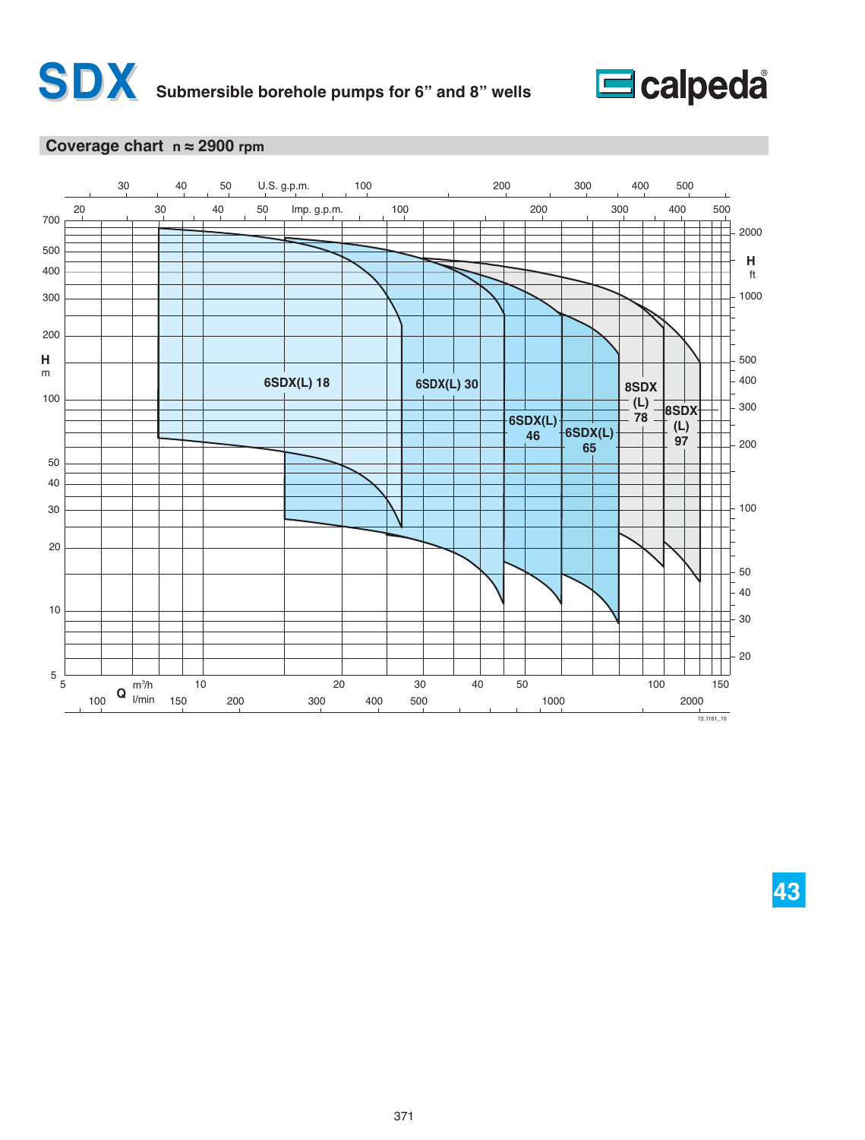



### **Coverage chart n ≈ 2900 rpm**

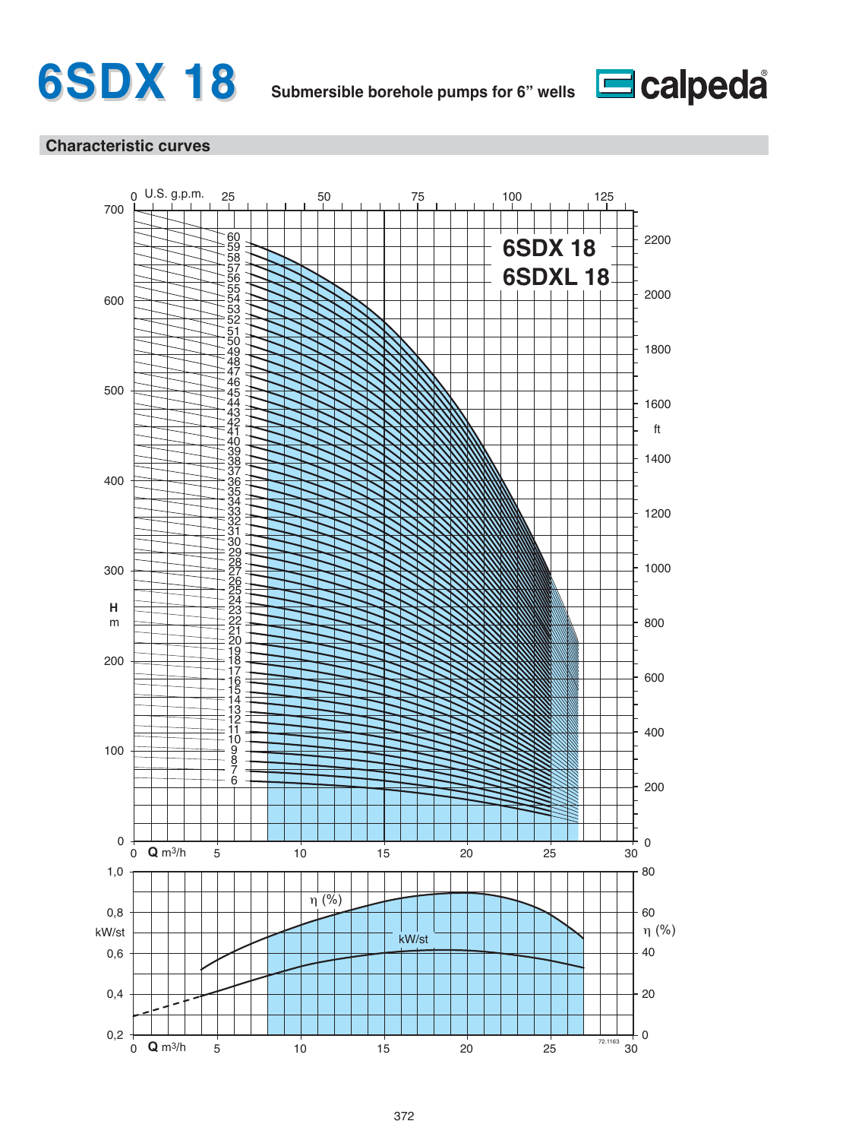



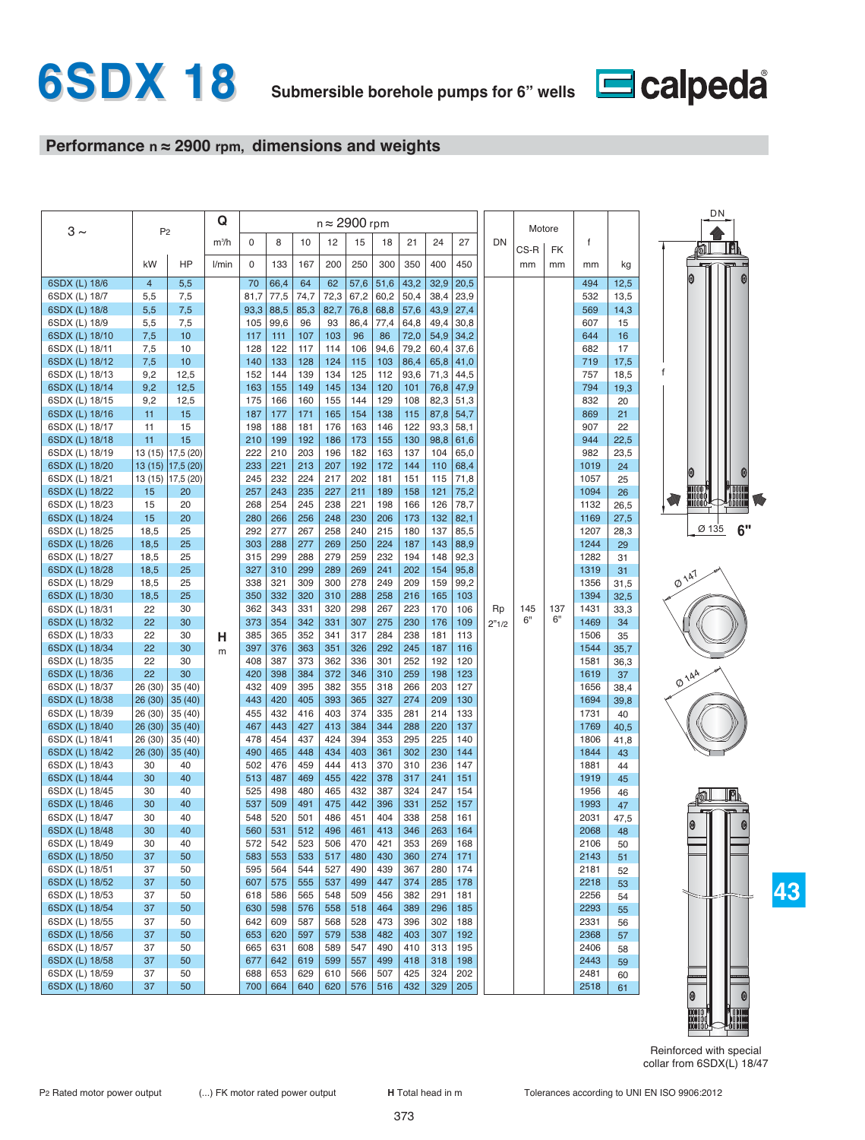

# **Performance n ≈ 2900 rpm, dimensions and weights**

|                                  | P <sub>2</sub> |                   | Q       |             |             |            | $n \approx 2900$ rpm |            |            |              |              |              |       | Motore |           |              |            | DN                              |
|----------------------------------|----------------|-------------------|---------|-------------|-------------|------------|----------------------|------------|------------|--------------|--------------|--------------|-------|--------|-----------|--------------|------------|---------------------------------|
| $3 \sim$                         |                |                   | $m^3/h$ | $\Omega$    | 8           | 10         | 12                   | 15         | 18         | 21           | 24           | 27           | DN    |        |           | f            |            |                                 |
|                                  |                |                   |         |             |             |            |                      |            |            |              |              |              |       | CS-R   | <b>FK</b> |              |            |                                 |
|                                  | kW             | HP                | l/min   | $\mathbf 0$ | 133         | 167        | 200                  | 250        | 300        | 350          | 400          | 450          |       | mm     | mm        | mm           | kg         |                                 |
| 6SDX (L) 18/6                    | $\overline{4}$ | 5,5               |         | 70          | 66,4        | 64         | 62                   | 57,6       | 51,6       | 43,2         | 32,9         | 20,5         |       |        |           | 494          | 12,5       |                                 |
| 6SDX (L) 18/7                    | 5,5            | 7,5               |         | 81,7        | 77,5        | 74,7       | 72,3                 | 67,2       | 60,2       | 50,4         | 38,4         | 23,9         |       |        |           | 532          | 13,5       |                                 |
| 6SDX (L) 18/8                    | 5,5            | 7,5               |         | 93,3        | 88,5        | 85,3       | 82,7                 | 76,8       | 68,8       | 57,6         | 43,9         | 27,4         |       |        |           | 569          | 14,3       |                                 |
| 6SDX (L) 18/9                    | 5,5<br>7,5     | 7,5<br>10         |         | 105<br>117  | 99,6<br>111 | 96<br>107  | 93<br>103            | 86,4<br>96 | 77,4<br>86 | 64,8<br>72,0 | 49,4<br>54,9 | 30,8<br>34,2 |       |        |           | 607<br>644   | 15<br>16   |                                 |
| 6SDX (L) 18/10<br>6SDX (L) 18/11 | 7,5            | 10                |         | 128         | 122         | 117        | 114                  | 106        | 94,6       | 79,2         | 60,4         | 37,6         |       |        |           | 682          | 17         |                                 |
| 6SDX (L) 18/12                   | 7,5            | 10                |         | 140         | 133         | 128        | 124                  | 115        | 103        | 86,4         | 65,8         | 41,0         |       |        |           | 719          | 17,5       |                                 |
| 6SDX (L) 18/13                   | 9,2            | 12,5              |         | 152         | 144         | 139        | 134                  | 125        | 112        | 93,6         | 71,3         | 44,5         |       |        |           | 757          | 18,5       | f                               |
| 6SDX (L) 18/14                   | 9,2            | 12,5              |         | 163         | 155         | 149        | 145                  | 134        | 120        | 101          | 76,8         | 47,9         |       |        |           | 794          | 19.3       |                                 |
| 6SDX (L) 18/15                   | 9,2            | 12,5              |         | 175         | 166         | 160        | 155                  | 144        | 129        | 108          | 82,3         | 51,3         |       |        |           | 832          | 20         |                                 |
| 6SDX (L) 18/16                   | 11             | 15                |         | 187         | 177         | 171        | 165                  | 154        | 138        | 115          | 87,8         | 54,7         |       |        |           | 869          | 21         |                                 |
| 6SDX (L) 18/17                   | 11             | 15                |         | 198         | 188         | 181        | 176                  | 163        | 146        | 122          | 93,3         | 58,1         |       |        |           | 907          | 22         |                                 |
| 6SDX (L) 18/18                   | 11             | 15                |         | 210         | 199         | 192        | 186                  | 173        | 155        | 130          | 98,8         | 61,6         |       |        |           | 944          | 22,5       |                                 |
| 6SDX (L) 18/19                   |                | 13 (15) 17,5 (20) |         | 222         | 210         | 203        | 196                  | 182        | 163        | 137          | 104          | 65,0         |       |        |           | 982          | 23,5       |                                 |
| 6SDX (L) 18/20                   | 13(15)         | 17,5 (20)         |         | 233         | 221         | 213        | 207                  | 192        | 172        | 144          | 110          | 68,4         |       |        |           | 1019         | 24         |                                 |
| 6SDX (L) 18/21                   | 13 (15)<br>15  | 17,5(20)<br>20    |         | 245<br>257  | 232<br>243  | 224<br>235 | 217<br>227           | 202<br>211 | 181<br>189 | 151<br>158   | 115<br>121   | 71,8<br>75,2 |       |        |           | 1057<br>1094 | 25         | wooo                            |
| 6SDX (L) 18/22<br>6SDX (L) 18/23 | 15             | 20                |         | 268         | 254         | 245        | 238                  | 221        | 198        | 166          | 126          | 78,7         |       |        |           | 1132         | 26<br>26,5 | MOOO O O<br>10000               |
| 6SDX (L) 18/24                   | 15             | 20                |         | 280         | 266         | 256        | 248                  | 230        | 206        | 173          | 132          | 82,1         |       |        |           | 1169         | 27,5       |                                 |
| 6SDX (L) 18/25                   | 18,5           | 25                |         | 292         | 277         | 267        | 258                  | 240        | 215        | 180          | 137          | 85,5         |       |        |           | 1207         | 28,3       | 6'<br>Ø 135                     |
| 6SDX (L) 18/26                   | 18,5           | 25                |         | 303         | 288         | 277        | 269                  | 250        | 224        | 187          | 143          | 88,9         |       |        |           | 1244         | 29         |                                 |
| 6SDX (L) 18/27                   | 18,5           | 25                |         | 315         | 299         | 288        | 279                  | 259        | 232        | 194          | 148          | 92,3         |       |        |           | 1282         | 31         |                                 |
| 6SDX (L) 18/28                   | 18,5           | 25                |         | 327         | 310         | 299        | 289                  | 269        | 241        | 202          | 154          | 95,8         |       |        |           | 1319         | 31         |                                 |
| 6SDX (L) 18/29                   | 18,5           | 25                |         | 338         | 321         | 309        | 300                  | 278        | 249        | 209          | 159          | 99,2         |       |        |           | 1356         | 31,5       | $\phi^{\lambda\Delta^T}$        |
| 6SDX (L) 18/30                   | 18,5           | 25                |         | 350         | 332         | 320        | 310                  | 288        | 258        | 216          | 165          | 103          |       |        |           | 1394         | 32,5       |                                 |
| 6SDX (L) 18/31                   | 22             | 30                |         | 362         | 343         | 331        | 320                  | 298        | 267        | 223          | 170          | 106          | Rp    | 145    | 137       | 1431         | 33,3       |                                 |
| 6SDX (L) 18/32                   | 22             | 30                |         | 373         | 354         | 342        | 331                  | 307        | 275        | 230          | 176          | 109          | 2"1/2 | 6"     | 6"        | 1469         | 34         |                                 |
| 6SDX (L) 18/33                   | 22             | 30                | н       | 385         | 365         | 352        | 341                  | 317        | 284        | 238          | 181          | 113          |       |        |           | 1506         | 35         |                                 |
| 6SDX (L) 18/34<br>6SDX (L) 18/35 | 22<br>22       | 30<br>30          | m       | 397<br>408  | 376<br>387  | 363<br>373 | 351<br>362           | 326<br>336 | 292<br>301 | 245<br>252   | 187<br>192   | 116<br>120   |       |        |           | 1544<br>1581 | 35,7       |                                 |
| 6SDX (L) 18/36                   | 22             | 30                |         | 420         | 398         | 384        | 372                  | 346        | 310        | 259          | 198          | 123          |       |        |           | 1619         | 36,3<br>37 |                                 |
| 6SDX (L) 18/37                   | 26 (30)        | 35(40)            |         | 432         | 409         | 395        | 382                  | 355        | 318        | 266          | 203          | 127          |       |        |           | 1656         | 38,4       | $\phi^{\lambda\Delta^{\Delta}}$ |
| 6SDX (L) 18/38                   | 26(30)         | 35(40)            |         | 443         | 420         | 405        | 393                  | 365        | 327        | 274          | 209          | 130          |       |        |           | 1694         | 39,8       |                                 |
| 6SDX (L) 18/39                   | 26 (30)        | 35(40)            |         | 455         | 432         | 416        | 403                  | 374        | 335        | 281          | 214          | 133          |       |        |           | 1731         | 40         |                                 |
| 6SDX (L) 18/40                   | 26 (30)        | 35(40)            |         | 467         | 443         | 427        | 413                  | 384        | 344        | 288          | 220          | 137          |       |        |           | 1769         | 40,5       |                                 |
| 6SDX (L) 18/41                   | 26 (30)        | 35 (40)           |         | 478         | 454         | 437        | 424                  | 394        | 353        | 295          | 225          | 140          |       |        |           | 1806         | 41,8       |                                 |
| 6SDX (L) 18/42                   | 26 (30)        | 35(40)            |         | 490         | 465         | 448        | 434                  | 403        | 361        | 302          | 230          | 144          |       |        |           | 1844         | 43         |                                 |
| 6SDX (L) 18/43                   | 30             | 40                |         | 502         | 476         | 459        | 444                  | 413        | 370        | 310          | 236          | 147          |       |        |           | 1881         | 44         |                                 |
| 6SDX (L) 18/44                   | 30             | 40                |         | 513         | 487         | 469        | 455                  | 422        | 378        | 317          | 241          | 151          |       |        |           | 1919         | 45         |                                 |
| 6SDX (L) 18/45                   | 30             | 40<br>40          |         | 525         | 498         | 480        | 465                  | 432<br>442 | 387        | 324          | 247          | 154          |       |        |           | 1956         | 46         | r                               |
| 6SDX (L) 18/46<br>6SDX (L) 18/47 | 30<br>30       | 40                |         | 537<br>548  | 509<br>520  | 491<br>501 | 475<br>486           | 451        | 396<br>404 | 331<br>338   | 252<br>258   | 157<br>161   |       |        |           | 1993<br>2031 | 47<br>47,5 |                                 |
| 6SDX (L) 18/48                   | 30             | 40                |         | 560         | 531         | 512        | 496                  | 461        | 413        | 346          | 263          | 164          |       |        |           | 2068         | 48         | 0<br>0                          |
| 6SDX (L) 18/49                   | 30             | 40                |         | 572         | 542         | 523        | 506                  | 470        | 421        | 353          | 269          | 168          |       |        |           | 2106         | 50         |                                 |
| 6SDX (L) 18/50                   | 37             | 50                |         | 583         | 553         | 533        | 517                  | 480        | 430        | 360          | 274          | 171          |       |        |           | 2143         | 51         |                                 |
| 6SDX (L) 18/51                   | 37             | 50                |         | 595         | 564         | 544        | 527                  | 490        | 439        | 367          | 280          | 174          |       |        |           | 2181         | 52         |                                 |
| 6SDX (L) 18/52                   | 37             | 50                |         | 607         | 575         | 555        | 537                  | 499        | 447        | 374          | 285          | 178          |       |        |           | 2218         | 53         |                                 |
| 6SDX (L) 18/53                   | 37             | 50                |         | 618         | 586         | 565        | 548                  | 509        | 456        | 382          | 291          | 181          |       |        |           | 2256         | 54         |                                 |
| 6SDX (L) 18/54                   | 37             | 50                |         | 630         | 598         | 576        | 558                  | 518        | 464        | 389          | 296          | 185          |       |        |           | 2293         | 55         |                                 |
| 6SDX (L) 18/55                   | 37             | 50                |         | 642         | 609         | 587        | 568                  | 528        | 473        | 396          | 302          | 188          |       |        |           | 2331         | 56         |                                 |
| 6SDX (L) 18/56                   | 37             | 50                |         | 653         | 620         | 597        | 579                  | 538        | 482        | 403          | 307          | 192          |       |        |           | 2368         | 57         |                                 |
| 6SDX (L) 18/57                   | 37             | 50                |         | 665         | 631         | 608        | 589                  | 547        | 490        | 410          | 313          | 195          |       |        |           | 2406         | 58         |                                 |
| 6SDX (L) 18/58<br>6SDX (L) 18/59 | 37<br>37       | 50<br>50          |         | 677<br>688  | 642<br>653  | 619<br>629 | 599<br>610           | 557<br>566 | 499<br>507 | 418<br>425   | 318<br>324   | 198<br>202   |       |        |           | 2443<br>2481 | 59         |                                 |
| 6SDX (L) 18/60                   | 37             | 50                |         | 700         | 664         | 640        | 620                  | 576        | 516        | 432          | 329          | 205          |       |        |           | 2518         | 60<br>61   |                                 |
|                                  |                |                   |         |             |             |            |                      |            |            |              |              |              |       |        |           |              |            |                                 |

Reinforced with special collar from 6SDX(L) 18/47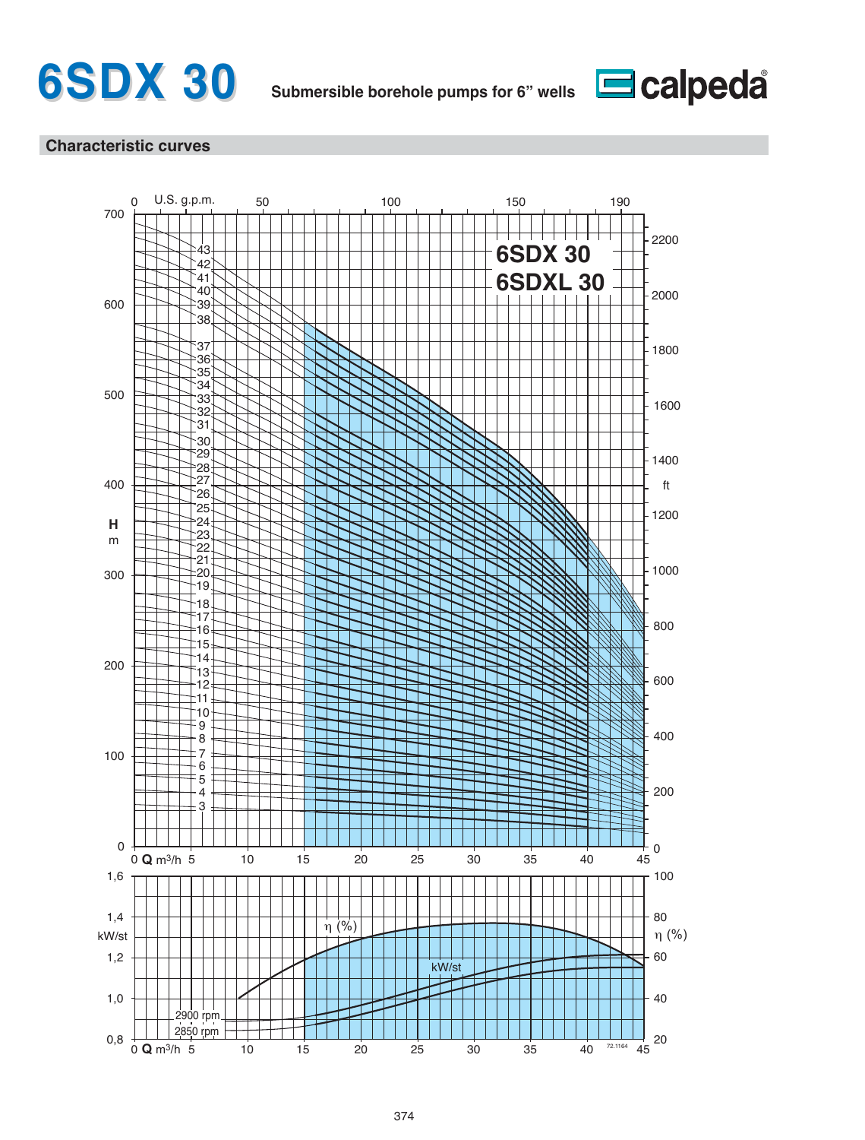



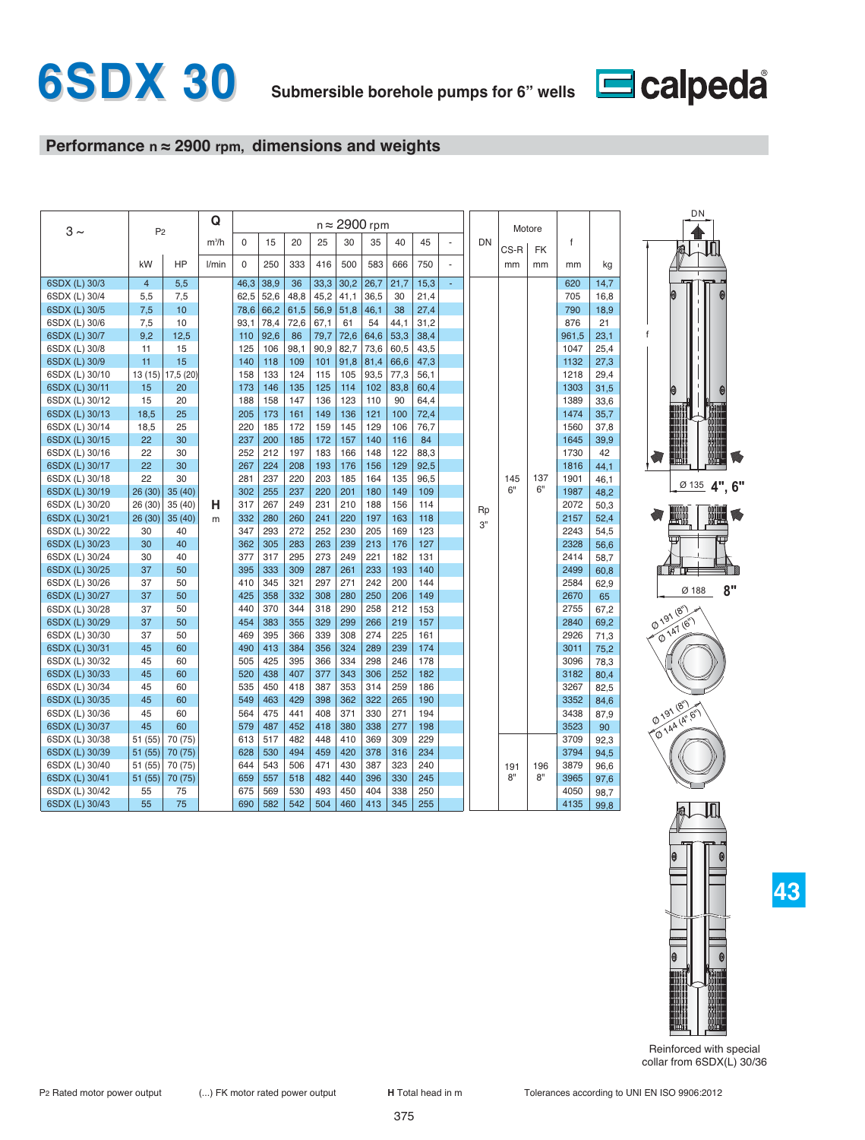

# **Performance n ≈ 2900 rpm, dimensions and weights**

| $3 \sim$       | P <sub>2</sub> |           | Q       |          |      |      |      |      | $n \approx 2900$ rpm |      |      |    |    |      | Motore    |       |      | DN                                                |
|----------------|----------------|-----------|---------|----------|------|------|------|------|----------------------|------|------|----|----|------|-----------|-------|------|---------------------------------------------------|
|                |                |           | $m^3/h$ | $\Omega$ | 15   | 20   | 25   | 30   | 35                   | 40   | 45   | ä, | DN | CS-R | <b>FK</b> | f     |      |                                                   |
|                | kW             | HP        | l/min   | $\Omega$ | 250  | 333  | 416  | 500  | 583                  | 666  | 750  |    |    | mm   | mm        | mm    | kg   |                                                   |
| 6SDX (L) 30/3  | $\overline{4}$ | 5,5       |         | 46,3     | 38,9 | 36   | 33,3 | 30,2 | 26,7                 | 21,7 | 15,3 | ä, |    |      |           | 620   | 14,7 |                                                   |
| 6SDX (L) 30/4  | 5,5            | 7.5       |         | 62,5     | 52,6 | 48,8 | 45,2 | 41,1 | 36,5                 | 30   | 21,4 |    |    |      |           | 705   | 16,8 |                                                   |
| 6SDX (L) 30/5  | 7,5            | 10        |         | 78,6     | 66,2 | 61,5 | 56,9 | 51,8 | 46,1                 | 38   | 27,4 |    |    |      |           | 790   | 18,9 |                                                   |
| 6SDX (L) 30/6  | 7,5            | 10        |         | 93,1     | 78,4 | 72,6 | 67,1 | 61   | 54                   | 44,1 | 31,2 |    |    |      |           | 876   | 21   |                                                   |
| 6SDX (L) 30/7  | 9,2            | 12,5      |         | 110      | 92,6 | 86   | 79,7 | 72,6 | 64,6                 | 53,3 | 38,4 |    |    |      |           | 961,5 | 23,1 | f                                                 |
| 6SDX (L) 30/8  | 11             | 15        |         | 125      | 106  | 98,1 | 90,9 | 82,7 | 73,6                 | 60,5 | 43,5 |    |    |      |           | 1047  | 25,4 |                                                   |
| 6SDX (L) 30/9  | 11             | 15        |         | 140      | 118  | 109  | 101  | 91,8 | 81,4                 | 66,6 | 47,3 |    |    |      |           | 1132  | 27,3 |                                                   |
| 6SDX (L) 30/10 | 13 (15)        | 17,5 (20) |         | 158      | 133  | 124  | 115  | 105  | 93,5                 | 77,3 | 56,1 |    |    |      |           | 1218  | 29,4 |                                                   |
| 6SDX (L) 30/11 | 15             | 20        |         | 173      | 146  | 135  | 125  | 114  | 102                  | 83,8 | 60,4 |    |    |      |           | 1303  | 31,5 | 0                                                 |
| 6SDX (L) 30/12 | 15             | 20        |         | 188      | 158  | 147  | 136  | 123  | 110                  | 90   | 64,4 |    |    |      |           | 1389  | 33,6 |                                                   |
| 6SDX (L) 30/13 | 18.5           | 25        |         | 205      | 173  | 161  | 149  | 136  | 121                  | 100  | 72,4 |    |    |      |           | 1474  | 35.7 |                                                   |
| 6SDX (L) 30/14 | 18,5           | 25        |         | 220      | 185  | 172  | 159  | 145  | 129                  | 106  | 76,7 |    |    |      |           | 1560  | 37,8 |                                                   |
| 6SDX (L) 30/15 | 22             | 30        |         | 237      | 200  | 185  | 172  | 157  | 140                  | 116  | 84   |    |    |      |           | 1645  | 39,9 |                                                   |
| 6SDX (L) 30/16 | 22             | 30        |         | 252      | 212  | 197  | 183  | 166  | 148                  | 122  | 88,3 |    |    |      |           | 1730  | 42   |                                                   |
| 6SDX (L) 30/17 | 22             | 30        |         | 267      | 224  | 208  | 193  | 176  | 156                  | 129  | 92,5 |    |    |      |           | 1816  | 44,1 |                                                   |
| 6SDX (L) 30/18 | 22             | 30        |         | 281      | 237  | 220  | 203  | 185  | 164                  | 135  | 96,5 |    |    | 145  | 137       | 1901  | 46,1 |                                                   |
| 6SDX (L) 30/19 | 26(30)         | 35(40)    |         | 302      | 255  | 237  | 220  | 201  | 180                  | 149  | 109  |    |    | 6"   | 6"        | 1987  | 48,2 | $\frac{\emptyset 135}{ } 4", 6$                   |
| 6SDX (L) 30/20 | 26 (30)        | 35 (40)   | н       | 317      | 267  | 249  | 231  | 210  | 188                  | 156  | 114  |    | Rp |      |           | 2072  | 50,3 |                                                   |
| 6SDX (L) 30/21 | 26(30)         | 35(40)    | m       | 332      | 280  | 260  | 241  | 220  | 197                  | 163  | 118  |    |    |      |           | 2157  | 52,4 |                                                   |
| 6SDX (L) 30/22 | 30             | 40        |         | 347      | 293  | 272  | 252  | 230  | 205                  | 169  | 123  |    | 3" |      |           | 2243  | 54,5 |                                                   |
| 6SDX (L) 30/23 | 30             | 40        |         | 362      | 305  | 283  | 263  | 239  | 213                  | 176  | 127  |    |    |      |           | 2328  | 56,6 |                                                   |
| 6SDX (L) 30/24 | 30             | 40        |         | 377      | 317  | 295  | 273  | 249  | 221                  | 182  | 131  |    |    |      |           | 2414  | 58,7 |                                                   |
| 6SDX (L) 30/25 | 37             | 50        |         | 395      | 333  | 309  | 287  | 261  | 233                  | 193  | 140  |    |    |      |           | 2499  | 60,8 |                                                   |
| 6SDX (L) 30/26 | 37             | 50        |         | 410      | 345  | 321  | 297  | 271  | 242                  | 200  | 144  |    |    |      |           | 2584  | 62,9 |                                                   |
| 6SDX (L) 30/27 | 37             | 50        |         | 425      | 358  | 332  | 308  | 280  | 250                  | 206  | 149  |    |    |      |           | 2670  | 65   | 8"<br>Ø 188                                       |
| 6SDX (L) 30/28 | 37             | 50        |         | 440      | 370  | 344  | 318  | 290  | 258                  | 212  | 153  |    |    |      |           | 2755  | 67,2 | $\widehat{\mathcal{C}}_{\scriptscriptstyle H}$    |
| 6SDX (L) 30/29 | 37             | 50        |         | 454      | 383  | 355  | 329  | 299  | 266                  | 219  | 157  |    |    |      |           | 2840  | 69,2 | $\phi^{\lambda^{Q^\Lambda}}$<br><b>Q 147 (6")</b> |
| 6SDX (L) 30/30 | 37             | 50        |         | 469      | 395  | 366  | 339  | 308  | 274                  | 225  | 161  |    |    |      |           | 2926  | 71,3 |                                                   |
| 6SDX (L) 30/31 | 45             | 60        |         | 490      | 413  | 384  | 356  | 324  | 289                  | 239  | 174  |    |    |      |           | 3011  | 75,2 |                                                   |
| 6SDX (L) 30/32 | 45             | 60        |         | 505      | 425  | 395  | 366  | 334  | 298                  | 246  | 178  |    |    |      |           | 3096  | 78,3 |                                                   |
| 6SDX (L) 30/33 | 45             | 60        |         | 520      | 438  | 407  | 377  | 343  | 306                  | 252  | 182  |    |    |      |           | 3182  | 80,4 |                                                   |
| 6SDX (L) 30/34 | 45             | 60        |         | 535      | 450  | 418  | 387  | 353  | 314                  | 259  | 186  |    |    |      |           | 3267  | 82,5 |                                                   |
| 6SDX (L) 30/35 | 45             | 60        |         | 549      | 463  | 429  | 398  | 362  | 322                  | 265  | 190  |    |    |      |           | 3352  | 84,6 |                                                   |
| 6SDX (L) 30/36 | 45             | 60        |         | 564      | 475  | 441  | 408  | 371  | 330                  | 271  | 194  |    |    |      |           | 3438  | 87,9 | Ø 191 (8")                                        |
| 6SDX (L) 30/37 | 45             | 60        |         | 579      | 487  | 452  | 418  | 380  | 338                  | 277  | 198  |    |    |      |           | 3523  | 90   | @ 144 (A", B")                                    |
| 6SDX (L) 30/38 | 51 (55)        | 70 (75)   |         | 613      | 517  | 482  | 448  | 410  | 369                  | 309  | 229  |    |    |      |           | 3709  | 92,3 |                                                   |
| 6SDX (L) 30/39 | 51(55)         | 70 (75)   |         | 628      | 530  | 494  | 459  | 420  | 378                  | 316  | 234  |    |    |      |           | 3794  | 94,5 |                                                   |
| 6SDX (L) 30/40 | 51 (55)        | 70 (75)   |         | 644      | 543  | 506  | 471  | 430  | 387                  | 323  | 240  |    |    | 191  | 196       | 3879  | 96,6 |                                                   |
| 6SDX (L) 30/41 | 51(55)         | 70 (75)   |         | 659      | 557  | 518  | 482  | 440  | 396                  | 330  | 245  |    |    | 8"   | 8"        | 3965  | 97,6 |                                                   |
| 6SDX (L) 30/42 | 55             | 75        |         | 675      | 569  | 530  | 493  | 450  | 404                  | 338  | 250  |    |    |      |           | 4050  | 98,7 |                                                   |
| 6SDX (L) 30/43 | 55             | 75        |         | 690      | 582  | 542  | 504  | 460  | 413                  | 345  | 255  |    |    |      |           | 4135  | 99,8 | hri                                               |



**4", 6"**

Ŵ

Reinforced with special collar from 6SDX(L) 30/36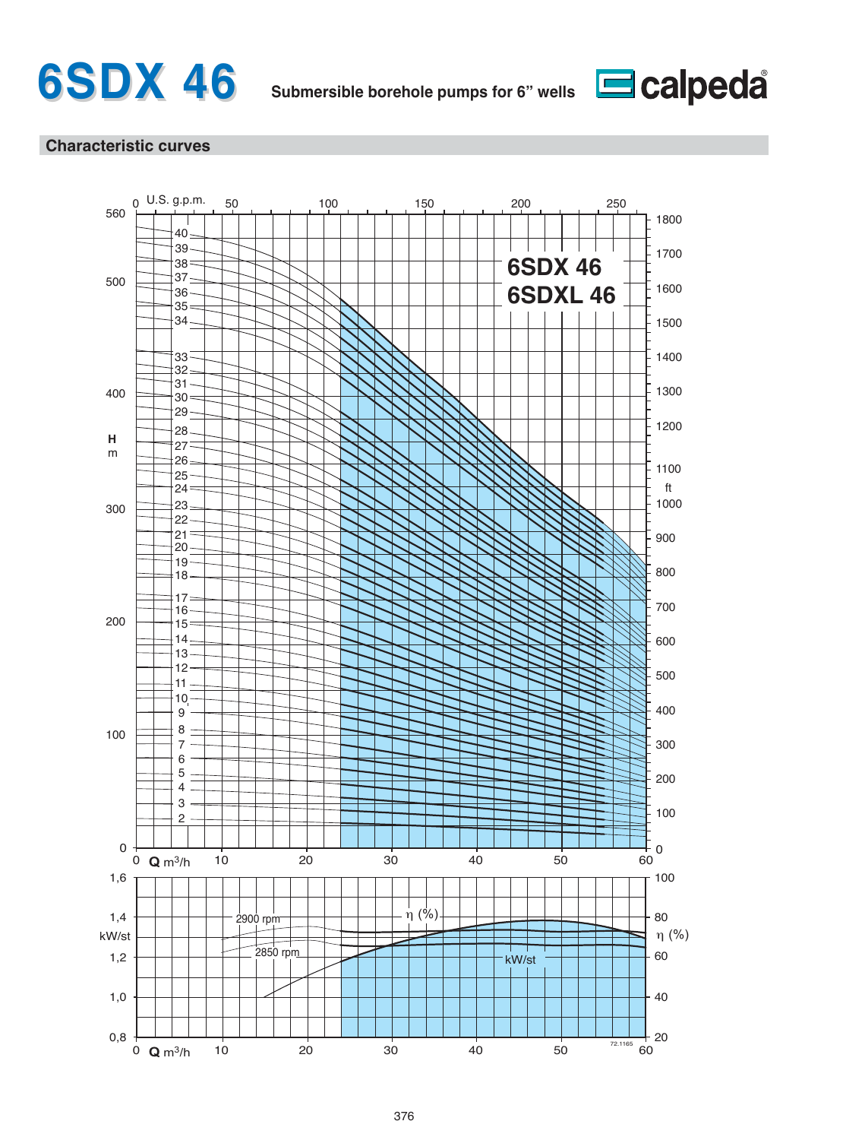



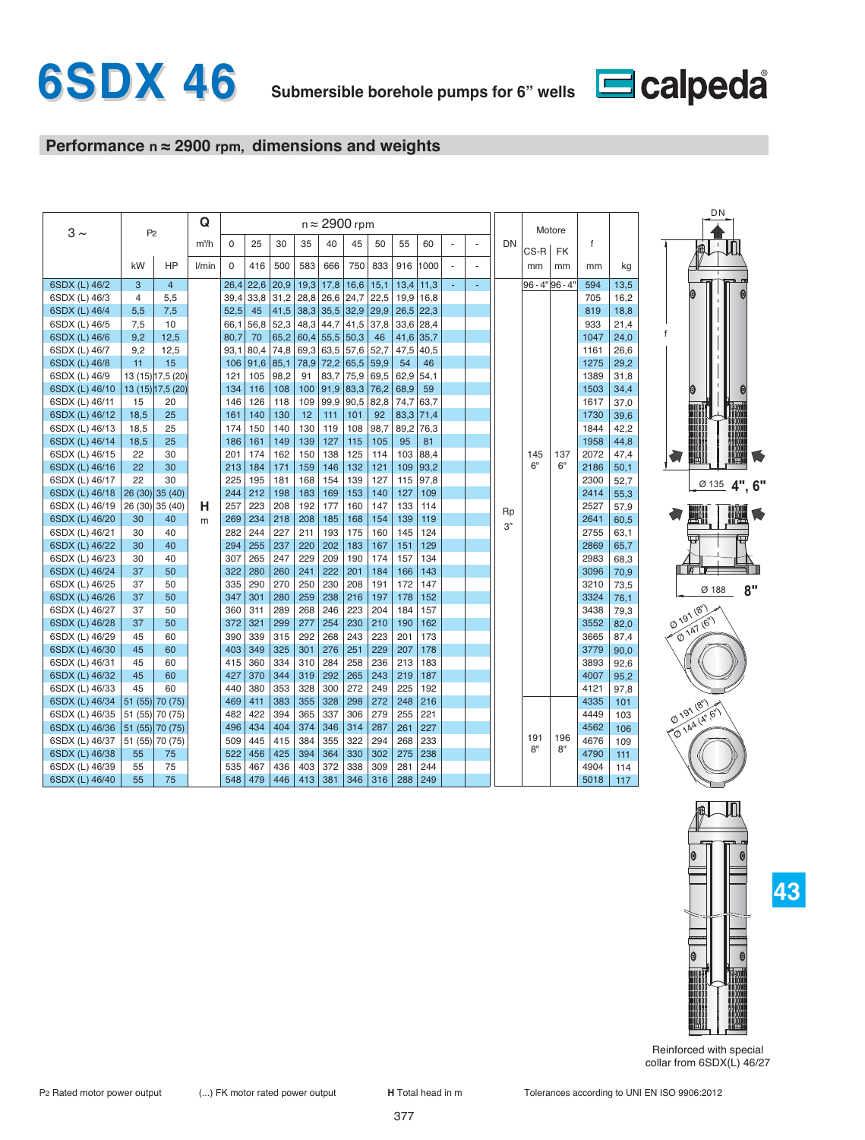

# **Performance n ≈ 2900 rpm, dimensions and weights**

|                |                |                   | Q       |          |      |      |      |             | $n \approx 2900$ rpm |      |      |      |    |    |    |           | Motore          |              |      |
|----------------|----------------|-------------------|---------|----------|------|------|------|-------------|----------------------|------|------|------|----|----|----|-----------|-----------------|--------------|------|
| $3 \sim$       | P <sub>2</sub> |                   | $m^3/h$ | $\Omega$ | 25   | 30   | 35   | 40          | 45                   | 50   | 55   | 60   |    |    | DN |           |                 | $\mathsf{f}$ |      |
|                |                |                   |         |          |      |      |      |             |                      |      |      |      |    |    |    | CS-R      | <b>FK</b>       |              |      |
|                | kW             | HP                | l/min   | $\Omega$ | 416  | 500  | 583  | 666         | 750                  | 833  | 916  | 1000 | L. |    |    | mm        | mm              | mm           | kg   |
| 6SDX (L) 46/2  | 3              | $\overline{4}$    |         | 26,4     | 22,6 | 20,9 | 19,3 | 17,8        | 16,6                 | 15,1 | 13,4 | 11,3 | ÷. | ÷. |    |           | 96 - 4" 96 - 4" | 594          | 13,5 |
| 6SDX (L) 46/3  | $\overline{4}$ | 5,5               |         | 39,4     | 33,8 | 31,2 |      | $28,8$ 26,6 | 24,7                 | 22,5 | 19,9 | 16,8 |    |    |    |           |                 | 705          | 16,2 |
| 6SDX (L) 46/4  | 5,5            | 7,5               |         | 52,5     | 45   | 41,5 |      | $38,3$ 35,5 | 32,9                 | 29,9 | 26,5 | 22,3 |    |    |    |           |                 | 819          | 18,8 |
| 6SDX (L) 46/5  | 7,5            | 10                |         | 66,1     | 56,8 | 52,3 | 48,3 | 44,7        | 41,5                 | 37,8 | 33,6 | 28,4 |    |    |    |           |                 | 933          | 21,4 |
| 6SDX (L) 46/6  | 9,2            | 12,5              |         | 80,7     | 70   | 65,2 | 60,4 | 55,5        | 50,3                 | 46   | 41,6 | 35,7 |    |    |    |           |                 | 1047         | 24,0 |
| 6SDX (L) 46/7  | 9,2            | 12,5              |         | 93,1     | 80,4 | 74,8 |      | 69,3 63,5   | 57,6                 | 52,7 | 47,5 | 40,5 |    |    |    |           |                 | 1161         | 26,6 |
| 6SDX (L) 46/8  | 11             | 15                |         | 106      | 91,6 | 85,1 | 78,9 | 72,2        | 65,5                 | 59,9 | 54   | 46   |    |    |    |           |                 | 1275         | 29,2 |
| 6SDX (L) 46/9  |                | 13 (15) 17,5 (20) |         | 121      | 105  | 98,2 | 91   | 83,7        | 75,9                 | 69,5 | 62,9 | 54,1 |    |    |    |           |                 | 1389         | 31,8 |
| 6SDX (L) 46/10 |                | 13 (15) 17,5 (20) |         | 134      | 116  | 108  | 100  | 91,9        | 83,3                 | 76,2 | 68,9 | 59   |    |    |    |           |                 | 1503         | 34,4 |
| 6SDX (L) 46/11 | 15             | 20                |         | 146      | 126  | 118  | 109  | 99,9        | 90,5                 | 82,8 | 74,7 | 63,7 |    |    |    |           |                 | 1617         | 37,0 |
| 6SDX (L) 46/12 | 18,5           | 25                |         | 161      | 140  | 130  | 12   | 111         | 101                  | 92   | 83,3 | 71,4 |    |    |    |           |                 | 1730         | 39,6 |
| 6SDX (L) 46/13 | 18,5           | 25                |         | 174      | 150  | 140  | 130  | 119         | 108                  | 98,7 | 89,2 | 76,3 |    |    |    |           |                 | 1844         | 42,2 |
| 6SDX (L) 46/14 | 18,5           | 25                |         | 186      | 161  | 149  | 139  | 127         | 115                  | 105  | 95   | 81   |    |    |    |           |                 | 1958         | 44,8 |
| 6SDX (L) 46/15 | 22             | 30                |         | 201      | 174  | 162  | 150  | 138         | 125                  | 114  | 103  | 88,4 |    |    |    | 145       | 137             | 2072         | 47,4 |
| 6SDX (L) 46/16 | 22             | 30                |         | 213      | 184  | 171  | 159  | 146         | 132                  | 121  | 109  | 93,2 |    |    |    | 6"        | 6"              | 2186         | 50,1 |
| 6SDX (L) 46/17 | 22             | 30                |         | 225      | 195  | 181  | 168  | 154         | 139                  | 127  | 115  | 97,8 |    |    |    |           |                 | 2300         | 52,7 |
| 6SDX (L) 46/18 |                | 26 (30) 35 (40)   |         | 244      | 212  | 198  | 183  | 169         | 153                  | 140  | 127  | 109  |    |    |    |           |                 | 2414         | 55,3 |
| 6SDX (L) 46/19 |                | 26 (30) 35 (40)   | н       | 257      | 223  | 208  | 192  | 177         | 160                  | 147  | 133  | 114  |    |    | Rp |           |                 | 2527         | 57,9 |
| 6SDX (L) 46/20 | 30             | 40                | m       | 269      | 234  | 218  | 208  | 185         | 168                  | 154  | 139  | 119  |    |    | 3" |           |                 | 2641         | 60,5 |
| 6SDX (L) 46/21 | 30             | 40                |         | 282      | 244  | 227  | 211  | 193         | 175                  | 160  | 145  | 124  |    |    |    |           |                 | 2755         | 63,1 |
| 6SDX (L) 46/22 | 30             | 40                |         | 294      | 255  | 237  | 220  | 202         | 183                  | 167  | 151  | 129  |    |    |    |           |                 | 2869         | 65,7 |
| 6SDX (L) 46/23 | 30             | 40                |         | 307      | 265  | 247  | 229  | 209         | 190                  | 174  | 157  | 134  |    |    |    |           |                 | 2983         | 68,3 |
| 6SDX (L) 46/24 | 37             | 50                |         | 322      | 280  | 260  | 241  | 222         | 201                  | 184  | 166  | 143  |    |    |    |           |                 | 3096         | 70,9 |
| 6SDX (L) 46/25 | 37             | 50                |         | 335      | 290  | 270  | 250  | 230         | 208                  | 191  | 172  | 147  |    |    |    |           |                 | 3210         | 73,5 |
| 6SDX (L) 46/26 | 37             | 50                |         | 347      | 301  | 280  | 259  | 238         | 216                  | 197  | 178  | 152  |    |    |    |           |                 | 3324         | 76,1 |
| 6SDX (L) 46/27 | 37             | 50                |         | 360      | 311  | 289  | 268  | 246         | 223                  | 204  | 184  | 157  |    |    |    |           |                 | 3438         | 79,3 |
| 6SDX (L) 46/28 | 37             | 50                |         | 372      | 321  | 299  | 277  | 254         | 230                  | 210  | 190  | 162  |    |    |    |           |                 | 3552         | 82,0 |
| 6SDX (L) 46/29 | 45             | 60                |         | 390      | 339  | 315  | 292  | 268         | 243                  | 223  | 201  | 173  |    |    |    |           |                 | 3665         | 87,4 |
| 6SDX (L) 46/30 | 45             | 60                |         | 403      | 349  | 325  | 301  | 276         | 251                  | 229  | 207  | 178  |    |    |    |           |                 | 3779         | 90,0 |
| 6SDX (L) 46/31 | 45             | 60                |         | 415      | 360  | 334  | 310  | 284         | 258                  | 236  | 213  | 183  |    |    |    |           |                 | 3893         | 92,6 |
| 6SDX (L) 46/32 | 45             | 60                |         | 427      | 370  | 344  | 319  | 292         | 265                  | 243  | 219  | 187  |    |    |    |           |                 | 4007         | 95,2 |
| 6SDX (L) 46/33 | 45             | 60                |         | 440      | 380  | 353  | 328  | 300         | 272                  | 249  | 225  | 192  |    |    |    |           |                 | 4121         | 97,8 |
| 6SDX (L) 46/34 |                | 51 (55) 70 (75)   |         | 469      | 411  | 383  | 355  | 328         | 298                  | 272  | 248  | 216  |    |    |    |           |                 | 4335         | 101  |
| 6SDX (L) 46/35 |                | 51 (55) 70 (75)   |         | 482      | 422  | 394  | 365  | 337         | 306                  | 279  | 255  | 221  |    |    |    |           |                 | 4449         | 103  |
| 6SDX (L) 46/36 |                | 51 (55) 70 (75)   |         | 496      | 434  | 404  | 374  | 346         | 314                  | 287  | 261  | 227  |    |    |    |           |                 | 4562         | 106  |
| 6SDX (L) 46/37 |                | 51 (55) 70 (75)   |         | 509      | 445  | 415  | 384  | 355         | 322                  | 294  | 268  | 233  |    |    |    | 191<br>8" | 196<br>8"       | 4676         | 109  |
| 6SDX (L) 46/38 | 55             | 75                |         | 522      | 456  | 425  | 394  | 364         | 330                  | 302  | 275  | 238  |    |    |    |           |                 | 4790         | 111  |
| 6SDX (L) 46/39 | 55             | 75                |         | 535      | 467  | 436  | 403  | 372         | 338                  | 309  | 281  | 244  |    |    |    |           |                 | 4904         | 114  |
| 6SDX (L) 46/40 | 55             | 75                |         | 548      | 479  | 446  | 413  | 381         | 346                  | 316  | 288  | 249  |    |    |    |           |                 | 5018         | 117  |





Reinforced with special collar from 6SDX(L) 46/27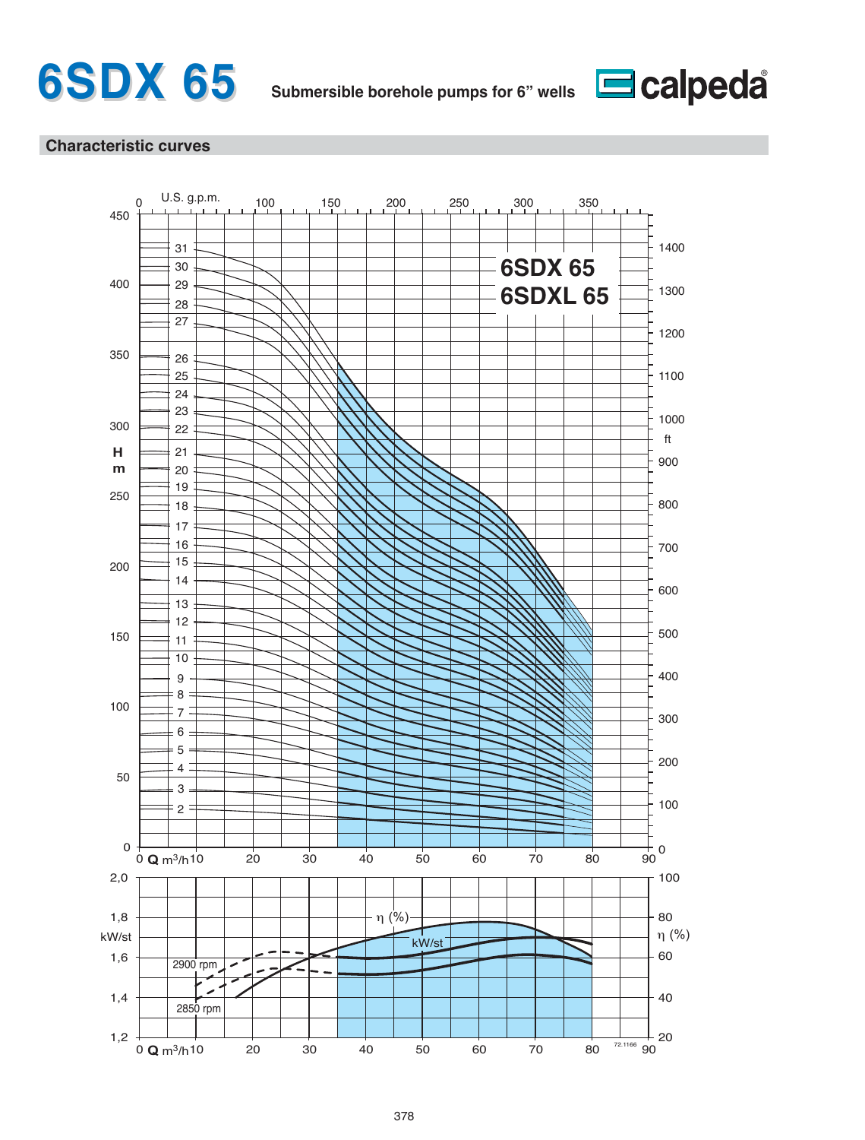



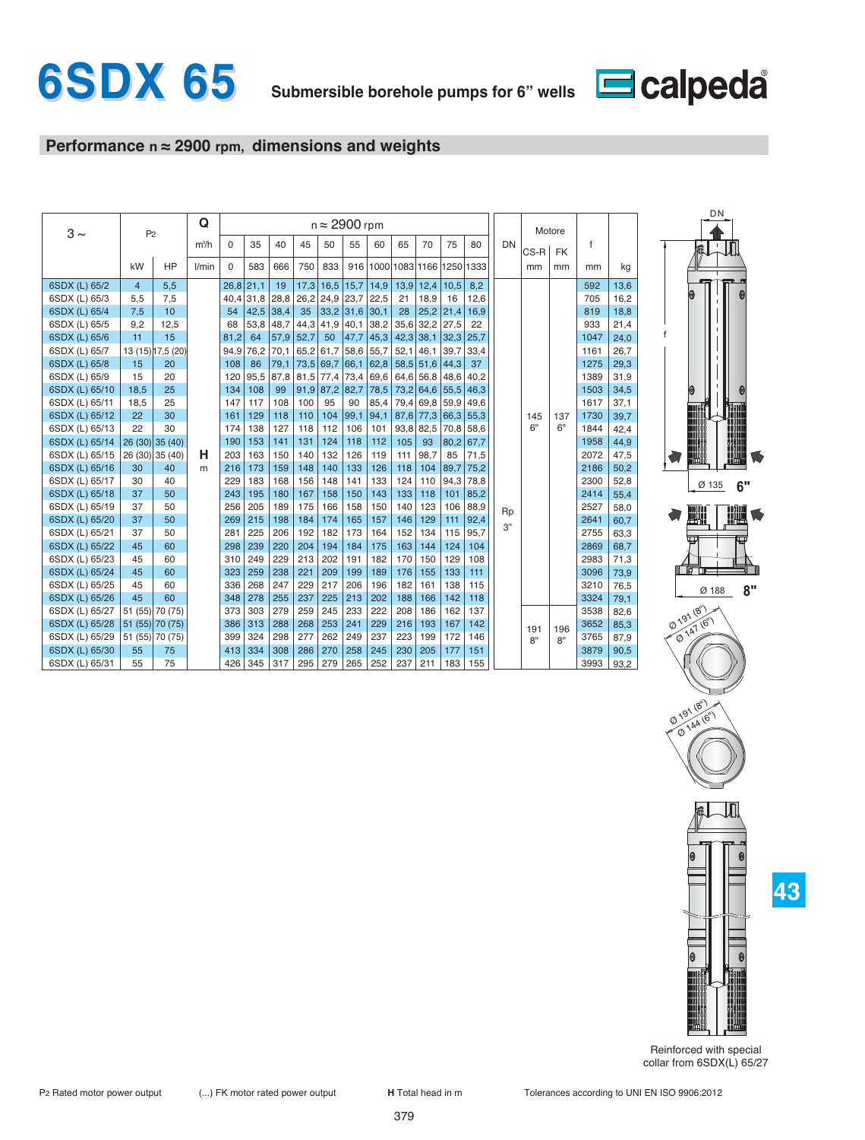

# **Performance n ≈ 2900 rpm, dimensions and weights**

| $3 \sim$       | P <sub>2</sub> |                   | Q       | $n \approx 2900$ rpm |             |      |             |             |      |                          |             |                  |             |      |    |      | Motore    |              |      |
|----------------|----------------|-------------------|---------|----------------------|-------------|------|-------------|-------------|------|--------------------------|-------------|------------------|-------------|------|----|------|-----------|--------------|------|
|                |                |                   | $m^3/h$ | $\Omega$             | 35          | 40   | 45          | 50          | 55   | 60                       | 65          | 70               | 75          | 80   | DN | CS-R | <b>FK</b> | $\mathsf{f}$ |      |
|                | kW             | <b>HP</b>         | l/min   | $\Omega$             | 583         | 666  | 750         | 833         | 916  | 1000 1083 1166 1250 1333 |             |                  |             |      |    | mm   | mm        | mm           | kg   |
| 6SDX (L) 65/2  | $\overline{4}$ | 5,5               |         | $26,8$ 21,1          |             | 19   | 17,3        | 16,5        | 15,7 | 14,9                     |             | $13,9$ 12,4      | 10,5        | 8,2  |    |      |           | 592          | 13,6 |
| 6SDX (L) 65/3  | 5,5            | 7,5               |         |                      | $40,4$ 31,8 | 28,8 | 26,2        | $24,9$ 23,7 |      | 22,5                     | 21          | 18,9             | 16          | 12,6 |    |      |           | 705          | 16,2 |
| 6SDX (L) 65/4  | 7,5            | 10                |         | 54                   | 42,5        | 38,4 | 35          | 33,2        | 31,6 | 30,1                     | 28          |                  | $25,2$ 21,4 | 16,9 |    |      |           | 819          | 18,8 |
| 6SDX (L) 65/5  | 9,2            | 12,5              |         | 68                   | 53,8        | 48,7 | 44,3        | 41,9        | 40,1 | 38,2                     |             | $35,6$ 32,2 27,5 |             | 22   |    |      |           | 933          | 21,4 |
| 6SDX (L) 65/6  | 11             | 15                |         | 81,2                 | 64          | 57,9 | 52,7        | 50          | 47,7 | 45,3                     |             | $42,3$ 38,1      | 32,3        | 25,7 |    |      |           | 1047         | 24,0 |
| 6SDX (L) 65/7  |                | 13 (15) 17,5 (20) |         | 94,9                 | 76,2        | 70,1 | 65,2        | 61,7        | 58,6 | 55,7                     | 52,1        | 46,1             | 39,7        | 33,4 |    |      |           | 1161         | 26,7 |
| 6SDX (L) 65/8  | 15             | 20                |         | 108                  | 86          | 79,1 | 73,5        | 69,7        | 66,1 | 62,8                     |             | $58,5$ 51,6 44,3 |             | 37   |    |      |           | 1275         | 29,3 |
| 6SDX (L) 65/9  | 15             | 20                |         | 120                  | 95,5        | 87,8 | 81,5        | 77,4        | 73,4 | 69,6                     |             | 64,6 56,8 48,6   |             | 40.2 |    |      |           | 1389         | 31,9 |
| 6SDX (L) 65/10 | 18,5           | 25                |         | 134                  | 108         | 99   | $91,9$ 87,2 |             | 82,7 | 78,5                     |             | 73,2 64,6 55,5   |             | 46,3 |    |      |           | 1503         | 34,5 |
| 6SDX (L) 65/11 | 18,5           | 25                |         | 147                  | 117         | 108  | 100         | 95          | 90   | 85,4                     |             | 79,4 69,8        | 59,9        | 49,6 |    |      |           | 1617         | 37,1 |
| 6SDX (L) 65/12 | 22             | 30                |         | 161                  | 129         | 118  | 110         | 104         | 99,1 | 94,1                     |             | $87,6$ 77,3      | $66,3$ 55,3 |      |    | 145  | 137       | 1730         | 39,7 |
| 6SDX (L) 65/13 | 22             | 30                |         | 174                  | 138         | 127  | 118         | 112         | 106  | 101                      | $93,8$ 82,5 |                  | 70,8        | 58,6 |    | 6"   | 6"        | 1844         | 42,4 |
| 6SDX (L) 65/14 |                | 26 (30) 35 (40)   |         | 190                  | 153         | 141  | 131         | 124         | 118  | 112                      | 105         | 93               | 80,2        | 67,7 |    |      |           | 1958         | 44,9 |
| 6SDX (L) 65/15 |                | 26 (30) 35 (40)   | н       | 203                  | 163         | 150  | 140         | 132         | 126  | 119                      | 111         | 98,7             | 85          | 71,5 |    |      |           | 2072         | 47,5 |
| 6SDX (L) 65/16 | 30             | 40                | m       | 216                  | 173         | 159  | 148         | 140         | 133  | 126                      | 118         | 104              | 89,7        | 75,2 |    |      |           | 2186         | 50,2 |
| 6SDX (L) 65/17 | 30             | 40                |         | 229                  | 183         | 168  | 156         | 148         | 141  | 133                      | 124         | 110              | 94,3        | 78,8 |    |      |           | 2300         | 52,8 |
| 6SDX (L) 65/18 | 37             | 50                |         | 243                  | 195         | 180  | 167         | 158         | 150  | 143                      | 133         | 118              | 101         | 85,2 |    |      |           | 2414         | 55,4 |
| 6SDX (L) 65/19 | 37             | 50                |         | 256                  | 205         | 189  | 175         | 166         | 158  | 150                      | 140         | 123              | 106         | 88,9 | Rp |      |           | 2527         | 58,0 |
| 6SDX (L) 65/20 | 37             | 50                |         | 269                  | 215         | 198  | 184         | 174         | 165  | 157                      | 146         | 129              | $111$       | 92,4 | 3" |      |           | 2641         | 60,7 |
| 6SDX (L) 65/21 | 37             | 50                |         | 281                  | 225         | 206  | 192         | 182         | 173  | 164                      | 152         | 134              | 115         | 95,7 |    |      |           | 2755         | 63,3 |
| 6SDX (L) 65/22 | 45             | 60                |         | 298                  | 239         | 220  | 204         | 194         | 184  | 175                      | 163         | 144              | 124         | 104  |    |      |           | 2869         | 68,7 |
| 6SDX (L) 65/23 | 45             | 60                |         | 310                  | 249         | 229  | 213         | 202         | 191  | 182                      | 170         | 150              | 129         | 108  |    |      |           | 2983         | 71,3 |
| 6SDX (L) 65/24 | 45             | 60                |         | 323                  | 259         | 238  | 221         | 209         | 199  | 189                      | 176         | 155              | 133         | 111  |    |      |           | 3096         | 73,9 |
| 6SDX (L) 65/25 | 45             | 60                |         | 336                  | 268         | 247  | 229         | 217         | 206  | 196                      | 182         | 161              | 138         | 115  |    |      |           | 3210         | 76,5 |
| 6SDX (L) 65/26 | 45             | 60                |         | 348                  | 278         | 255  | 237         | 225         | 213  | 202                      | 188         | 166              | 142         | 118  |    |      |           | 3324         | 79,1 |
| 6SDX (L) 65/27 |                | 51 (55) 70 (75)   |         | 373                  | 303         | 279  | 259         | 245         | 233  | 222                      | 208         | 186              | 162         | 137  |    |      |           | 3538         | 82,6 |
| 6SDX (L) 65/28 |                | 51 (55) 70 (75)   |         | 386                  | 313         | 288  | 268         | 253         | 241  | 229                      | 216         | 193              | 167         | 142  |    | 191  | 196       | 3652         | 85,3 |
| 6SDX (L) 65/29 |                | 51 (55) 70 (75)   |         | 399                  | 324         | 298  | 277         | 262         | 249  | 237                      | 223         | 199              | 172         | 146  |    | 8"   | 8"        | 3765         | 87,9 |
| 6SDX (L) 65/30 | 55             | 75                |         | 413                  | 334         | 308  | 286         | 270         | 258  | 245                      | 230         | 205              | 177         | 151  |    |      |           | 3879         | 90,5 |
| 6SDX (L) 65/31 | 55             | 75                |         | 426                  | 345         | 317  | 295         | 279         | 265  | 252                      | 237         | 211              | 183         | 155  |    |      |           | 3993         | 93,2 |



Reinforced with special collar from 6SDX(L) 65/27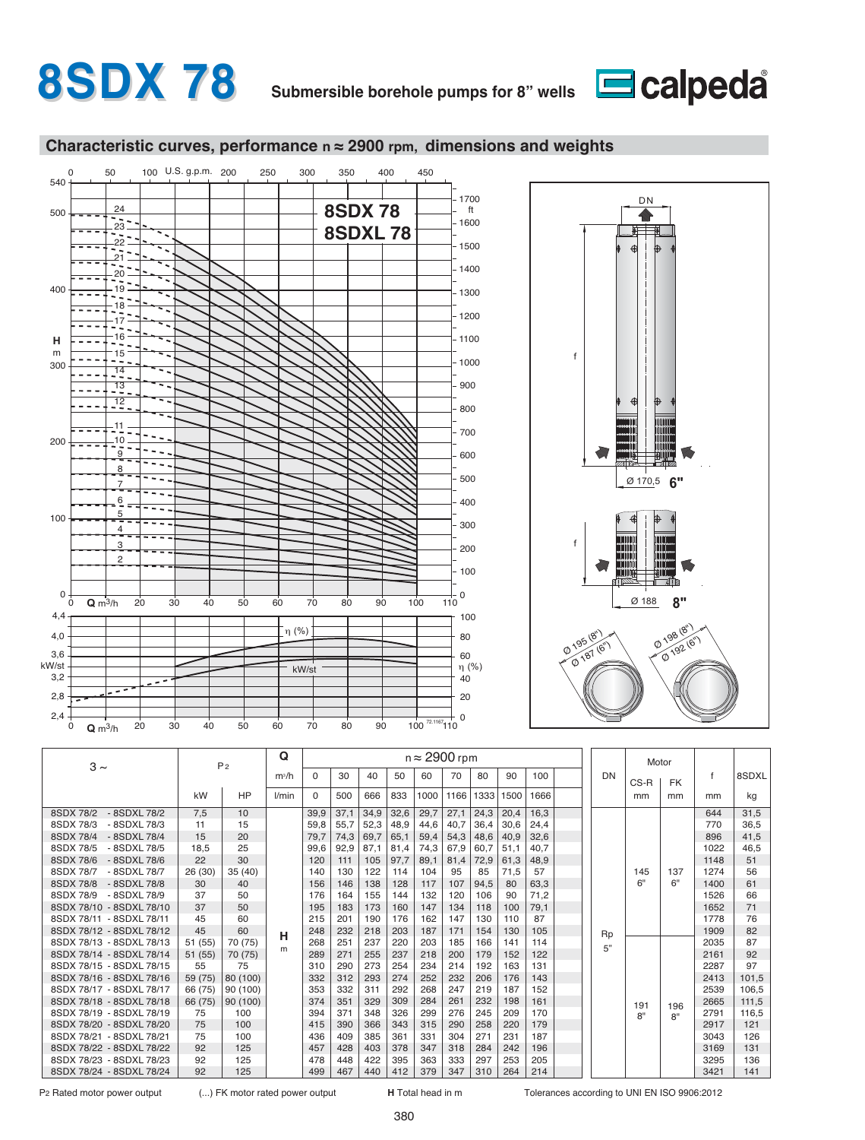# **8SDX 78 Submersible borehole pumps for 8" wells**



### **Characteristic curves, performance n ≈ 2900 rpm, dimensions and weights**



| $3 \sim$                  |         | P <sub>2</sub> | Q       |          |      |      |      | $n \approx 2900$ rpm |      |      |      |      |           | Motor              |     |      |       |
|---------------------------|---------|----------------|---------|----------|------|------|------|----------------------|------|------|------|------|-----------|--------------------|-----|------|-------|
|                           |         |                | $m^3/h$ | $\Omega$ | 30   | 40   | 50   | 60                   | 70   | 80   | 90   | 100  | <b>DN</b> | CS-R               | FK. |      | 8SDXL |
|                           | kW      | HP             | l/min   | $\Omega$ | 500  | 666  | 833  | 1000                 | 1166 | 1333 | 1500 | 1666 |           | mm                 | mm  | mm   | kg    |
| 8SDX 78/2<br>- 8SDXL 78/2 | 7,5     | 10             |         | 39,9     | 37,1 | 34,9 | 32,6 | 29,7                 | 27,1 | 24,3 | 20,4 | 16,3 |           |                    |     | 644  | 31,5  |
| 8SDX 78/3<br>- 8SDXL 78/3 | 11      | 15             |         | 59,8     | 55,7 | 52,3 | 48,9 | 44,6                 | 40,7 | 36,4 | 30,6 | 24,4 |           |                    |     | 770  | 36,5  |
| 8SDX 78/4<br>- 8SDXL 78/4 | 15      | 20             |         | 79,7     | 74,3 | 69,7 | 65,1 | 59,4                 | 54,3 | 48,6 | 40,9 | 32,6 |           |                    |     | 896  | 41,5  |
| 8SDX 78/5<br>- 8SDXL 78/5 | 18,5    | 25             |         | 99.6     | 92,9 | 87,1 | 81.4 | 74,3                 | 67,9 | 60.7 | 51.1 | 40.7 |           |                    |     | 1022 | 46.5  |
| 8SDX 78/6<br>- 8SDXL 78/6 | 22      | 30             |         | 120      | 111  | 105  | 97,7 | 89,1                 | 81,4 | 72,9 | 61,3 | 48,9 |           |                    |     | 1148 | 51    |
| 8SDX 78/7<br>- 8SDXL 78/7 | 26 (30) | 35(40)         |         | 140      | 130  | 122  | 114  | 104                  | 95   | 85   | 71,5 | 57   |           | 145                | 137 | 1274 | 56    |
| 8SDX 78/8<br>- 8SDXL 78/8 | 30      | 40             |         | 156      | 146  | 138  | 128  | 117                  | 107  | 94,5 | 80   | 63,3 |           | 6"                 | 6"  | 1400 | 61    |
| 8SDX 78/9<br>- 8SDXL 78/9 | 37      | 50             |         | 176      | 164  | 155  | 144  | 132                  | 120  | 106  | 90   | 71,2 |           |                    |     | 1526 | 66    |
| 8SDX 78/10 - 8SDXL 78/10  | 37      | 50             |         | 195      | 183  | 173  | 160  | 147                  | 134  | 118  | 100  | 79,1 |           |                    |     | 1652 | 71    |
| 8SDX 78/11 - 8SDXL 78/11  | 45      | 60             |         | 215      | 201  | 190  | 176  | 162                  | 147  | 130  | 110  | 87   |           |                    |     | 1778 | 76    |
| 8SDX 78/12 - 8SDXL 78/12  | 45      | 60             | н       | 248      | 232  | 218  | 203  | 187                  | 171  | 154  | 130  | 105  | Rp        |                    |     | 1909 | 82    |
| 8SDX 78/13 - 8SDXL 78/13  | 51 (55) | 70 (75)        | m       | 268      | 251  | 237  | 220  | 203                  | 185  | 166  | 141  | 114  | 5"        |                    |     | 2035 | 87    |
| 8SDX 78/14 - 8SDXL 78/14  | 51 (55) | 70 (75)        |         | 289      | 271  | 255  | 237  | 218                  | 200  | 179  | 152  | 122  |           |                    |     | 2161 | 92    |
| 8SDX 78/15 - 8SDXL 78/15  | 55      | 75             |         | 310      | 290  | 273  | 254  | 234                  | 214  | 192  | 163  | 131  |           |                    |     | 2287 | 97    |
| 8SDX 78/16 - 8SDXL 78/16  | 59 (75) | 80 (100)       |         | 332      | 312  | 293  | 274  | 252                  | 232  | 206  | 176  | 143  |           |                    |     | 2413 | 101,5 |
| 8SDX 78/17 - 8SDXL 78/17  | 66 (75) | 90 (100)       |         | 353      | 332  | 311  | 292  | 268                  | 247  | 219  | 187  | 152  |           |                    |     | 2539 | 106,5 |
| 8SDX 78/18 - 8SDXL 78/18  | 66 (75) | 90 (100)       |         | 374      | 351  | 329  | 309  | 284                  | 261  | 232  | 198  | 161  |           | 191                | 196 | 2665 | 111,5 |
| 8SDX 78/19 - 8SDXL 78/19  | 75      | 100            |         | 394      | 371  | 348  | 326  | 299                  | 276  | 245  | 209  | 170  |           | $R^{\prime\prime}$ | 8"  | 2791 | 116,5 |
| 8SDX 78/20 - 8SDXL 78/20  | 75      | 100            |         | 415      | 390  | 366  | 343  | 315                  | 290  | 258  | 220  | 179  |           |                    |     | 2917 | 121   |
| 8SDX 78/21 - 8SDXL 78/21  | 75      | 100            |         | 436      | 409  | 385  | 361  | 331                  | 304  | 271  | 231  | 187  |           |                    |     | 3043 | 126   |
| 8SDX 78/22 - 8SDXL 78/22  | 92      | 125            |         | 457      | 428  | 403  | 378  | 347                  | 318  | 284  | 242  | 196  |           |                    |     | 3169 | 131   |
| 8SDX 78/23 - 8SDXL 78/23  | 92      | 125            |         | 478      | 448  | 422  | 395  | 363                  | 333  | 297  | 253  | 205  |           |                    |     | 3295 | 136   |
| 8SDX 78/24 - 8SDXL 78/24  | 92      | 125            |         | 499      | 467  | 440  | 412  | 379                  | 347  | 310  | 264  | 214  |           |                    |     | 3421 | 141   |

P2 Rated motor power output (...) FK motor rated power output **H** Total head in m Tolerances according to UNI EN ISO 9906:2012